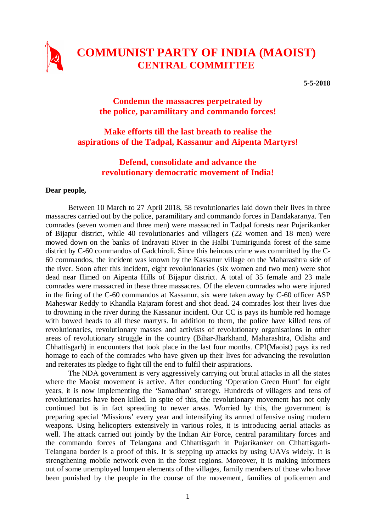

# **COMMUNIST PARTY OF INDIA (MAOIST) CENTRAL COMMITTEE**

**5-5-2018**

### **Condemn the massacres perpetrated by the police, paramilitary and commando forces!**

## **Make efforts till the last breath to realise the aspirations of the Tadpal, Kassanur and Aipenta Martyrs!**

## **Defend, consolidate and advance the revolutionary democratic movement of India!**

#### **Dear people,**

Between 10 March to 27 April 2018, 58 revolutionaries laid down their lives in three massacres carried out by the police, paramilitary and commando forces in Dandakaranya. Ten comrades (seven women and three men) were massacred in Tadpal forests near Pujarikanker of Bijapur district, while 40 revolutionaries and villagers (22 women and 18 men) were mowed down on the banks of Indravati River in the Halbi Tumirigunda forest of the same district by C-60 commandos of Gadchiroli. Since this heinous crime was committed by the C-60 commandos, the incident was known by the Kassanur village on the Maharashtra side of the river. Soon after this incident, eight revolutionaries (six women and two men) were shot dead near Ilimed on Aipenta Hills of Bijapur district. A total of 35 female and 23 male comrades were massacred in these three massacres. Of the eleven comrades who were injured in the firing of the C-60 commandos at Kassanur, six were taken away by C-60 officer ASP Maheswar Reddy to Khandla Rajaram forest and shot dead. 24 comrades lost their lives due to drowning in the river during the Kassanur incident. Our CC is pays its humble red homage with bowed heads to all these martyrs. In addition to them, the police have killed tens of revolutionaries, revolutionary masses and activists of revolutionary organisations in other areas of revolutionary struggle in the country (Bihar-Jharkhand, Maharashtra, Odisha and Chhattisgarh) in encounters that took place in the last four months. CPI(Maoist) pays its red homage to each of the comrades who have given up their lives for advancing the revolution and reiterates its pledge to fight till the end to fulfil their aspirations.

The NDA government is very aggressively carrying out brutal attacks in all the states where the Maoist movement is active. After conducting 'Operation Green Hunt' for eight years, it is now implementing the 'Samadhan' strategy. Hundreds of villagers and tens of revolutionaries have been killed. In spite of this, the revolutionary movement has not only continued but is in fact spreading to newer areas. Worried by this, the government is preparing special 'Missions' every year and intensifying its armed offensive using modern weapons. Using helicopters extensively in various roles, it is introducing aerial attacks as well. The attack carried out jointly by the Indian Air Force, central paramilitary forces and the commando forces of Telangana and Chhattisgarh in Pujarikanker on Chhattisgarh-Telangana border is a proof of this. It is stepping up attacks by using UAVs widely. It is strengthening mobile network even in the forest regions. Moreover, it is making informers out of some unemployed lumpen elements of the villages, family members of those who have been punished by the people in the course of the movement, families of policemen and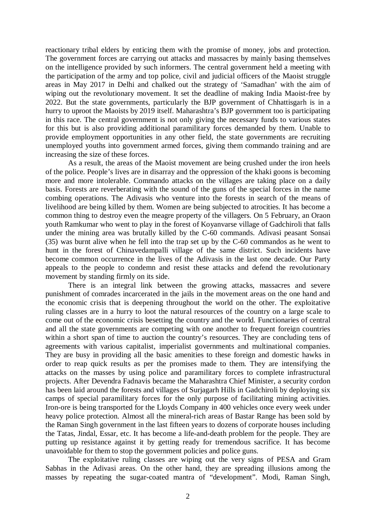reactionary tribal elders by enticing them with the promise of money, jobs and protection. The government forces are carrying out attacks and massacres by mainly basing themselves on the intelligence provided by such informers. The central government held a meeting with the participation of the army and top police, civil and judicial officers of the Maoist struggle areas in May 2017 in Delhi and chalked out the strategy of 'Samadhan' with the aim of wiping out the revolutionary movement. It set the deadline of making India Maoist-free by 2022. But the state governments, particularly the BJP government of Chhattisgarh is in a hurry to uproot the Maoists by 2019 itself. Maharashtra's BJP government too is participating in this race. The central government is not only giving the necessary funds to various states for this but is also providing additional paramilitary forces demanded by them. Unable to provide employment opportunities in any other field, the state governments are recruiting unemployed youths into government armed forces, giving them commando training and are increasing the size of these forces.

As a result, the areas of the Maoist movement are being crushed under the iron heels of the police. People's lives are in disarray and the oppression of the khaki goons is becoming more and more intolerable. Commando attacks on the villages are taking place on a daily basis. Forests are reverberating with the sound of the guns of the special forces in the name combing operations. The Adivasis who venture into the forests in search of the means of livelihood are being killed by them. Women are being subjected to atrocities. It has become a common thing to destroy even the meagre property of the villagers. On 5 February, an Oraon youth Ramkumar who went to play in the forest of Koyanvarse village of Gadchiroli that falls under the mining area was brutally killed by the C-60 commands. Adivasi peasant Sonsai (35) was burnt alive when he fell into the trap set up by the C-60 commandos as he went to hunt in the forest of Chinavedampalli village of the same district. Such incidents have become common occurrence in the lives of the Adivasis in the last one decade. Our Party appeals to the people to condemn and resist these attacks and defend the revolutionary movement by standing firmly on its side.

There is an integral link between the growing attacks, massacres and severe punishment of comrades incarcerated in the jails in the movement areas on the one hand and the economic crisis that is deepening throughout the world on the other. The exploitative ruling classes are in a hurry to loot the natural resources of the country on a large scale to come out of the economic crisis besetting the country and the world. Functionaries of central and all the state governments are competing with one another to frequent foreign countries within a short span of time to auction the country's resources. They are concluding tens of agreements with various capitalist, imperialist governments and multinational companies. They are busy in providing all the basic amenities to these foreign and domestic hawks in order to reap quick results as per the promises made to them. They are intensifying the attacks on the masses by using police and paramilitary forces to complete infrastructural projects. After Devendra Fadnavis became the Maharashtra Chief Minister, a security cordon has been laid around the forests and villages of Surjagarh Hills in Gadchiroli by deploying six camps of special paramilitary forces for the only purpose of facilitating mining activities. Iron-ore is being transported for the Lloyds Company in 400 vehicles once every week under heavy police protection. Almost all the mineral-rich areas of Bastar Range has been sold by the Raman Singh government in the last fifteen years to dozens of corporate houses including the Tatas, Jindal, Essar, etc. It has become a life-and-death problem for the people. They are putting up resistance against it by getting ready for tremendous sacrifice. It has become unavoidable for them to stop the government policies and police guns.

The exploitative ruling classes are wiping out the very signs of PESA and Gram Sabhas in the Adivasi areas. On the other hand, they are spreading illusions among the masses by repeating the sugar-coated mantra of "development". Modi, Raman Singh,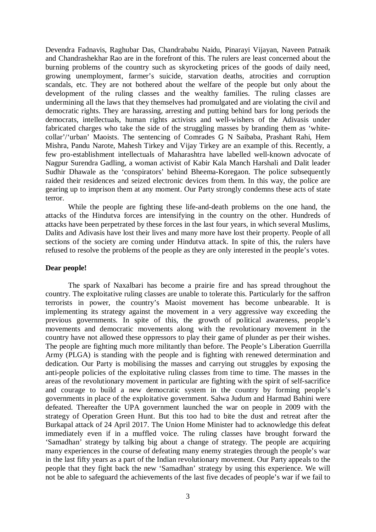Devendra Fadnavis, Raghubar Das, Chandrababu Naidu, Pinarayi Vijayan, Naveen Patnaik and Chandrashekhar Rao are in the forefront of this. The rulers are least concerned about the burning problems of the country such as skyrocketing prices of the goods of daily need, growing unemployment, farmer's suicide, starvation deaths, atrocities and corruption scandals, etc. They are not bothered about the welfare of the people but only about the development of the ruling classes and the wealthy families. The ruling classes are undermining all the laws that they themselves had promulgated and are violating the civil and democratic rights. They are harassing, arresting and putting behind bars for long periods the democrats, intellectuals, human rights activists and well-wishers of the Adivasis under fabricated charges who take the side of the struggling masses by branding them as 'whitecollar'/'urban' Maoists. The sentencing of Comrades G N Saibaba, Prashant Rahi, Hem Mishra, Pandu Narote, Mahesh Tirkey and Vijay Tirkey are an example of this. Recently, a few pro-establishment intellectuals of Maharashtra have labelled well-known advocate of Nagpur Surendra Gadling, a woman activist of Kabir Kala Manch Harshali and Dalit leader Sudhir Dhawale as the 'conspirators' behind Bheema-Koregaon. The police subsequently raided their residences and seized electronic devices from them. In this way, the police are gearing up to imprison them at any moment. Our Party strongly condemns these acts of state terror.

While the people are fighting these life-and-death problems on the one hand, the attacks of the Hindutva forces are intensifying in the country on the other. Hundreds of attacks have been perpetrated by these forces in the last four years, in which several Muslims, Dalits and Adivasis have lost their lives and many more have lost their property. People of all sections of the society are coming under Hindutva attack. In spite of this, the rulers have refused to resolve the problems of the people as they are only interested in the people's votes.

#### **Dear people!**

The spark of Naxalbari has become a prairie fire and has spread throughout the country. The exploitative ruling classes are unable to tolerate this. Particularly for the saffron terrorists in power, the country's Maoist movement has become unbearable. It is implementing its strategy against the movement in a very aggressive way exceeding the previous governments. In spite of this, the growth of political awareness, people's movements and democratic movements along with the revolutionary movement in the country have not allowed these oppressors to play their game of plunder as per their wishes. The people are fighting much more militantly than before. The People's Liberation Guerrilla Army (PLGA) is standing with the people and is fighting with renewed determination and dedication. Our Party is mobilising the masses and carrying out struggles by exposing the anti-people policies of the exploitative ruling classes from time to time. The masses in the areas of the revolutionary movement in particular are fighting with the spirit of self-sacrifice and courage to build a new democratic system in the country by forming people's governments in place of the exploitative government. Salwa Judum and Harmad Bahini were defeated. Thereafter the UPA government launched the war on people in 2009 with the strategy of Operation Green Hunt. But this too had to bite the dust and retreat after the Burkapal attack of 24 April 2017. The Union Home Minister had to acknowledge this defeat immediately even if in a muffled voice. The ruling classes have brought forward the 'Samadhan' strategy by talking big about a change of strategy. The people are acquiring many experiences in the course of defeating many enemy strategies through the people's war in the last fifty years as a part of the Indian revolutionary movement. Our Party appeals to the people that they fight back the new 'Samadhan' strategy by using this experience. We will not be able to safeguard the achievements of the last five decades of people's war if we fail to